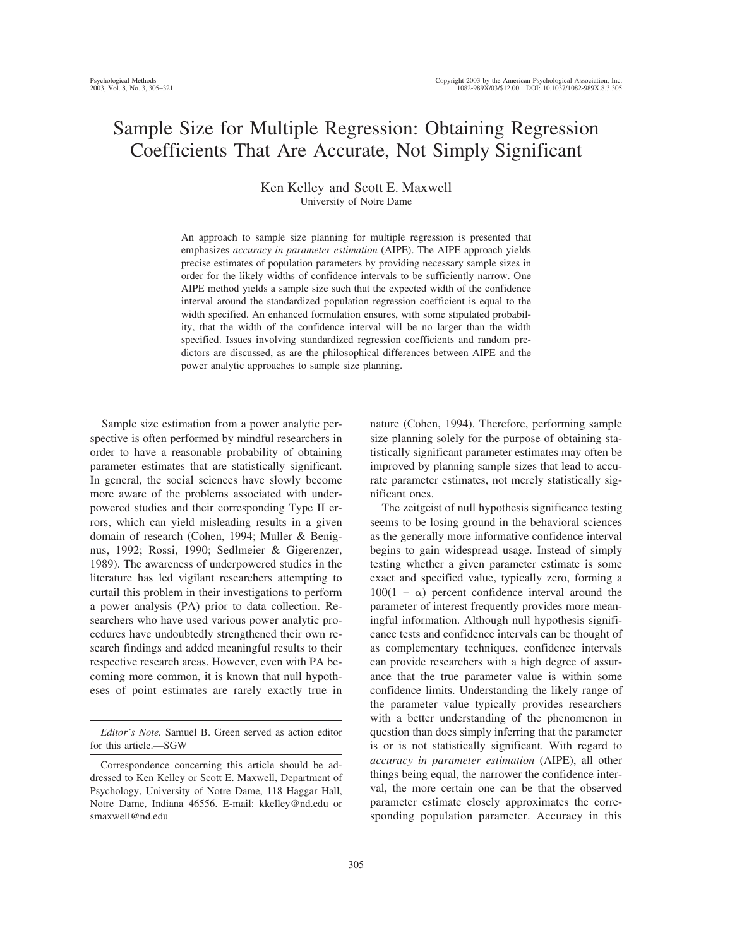# Sample Size for Multiple Regression: Obtaining Regression Coefficients That Are Accurate, Not Simply Significant

# Ken Kelley and Scott E. Maxwell University of Notre Dame

An approach to sample size planning for multiple regression is presented that emphasizes *accuracy in parameter estimation* (AIPE). The AIPE approach yields precise estimates of population parameters by providing necessary sample sizes in order for the likely widths of confidence intervals to be sufficiently narrow. One AIPE method yields a sample size such that the expected width of the confidence interval around the standardized population regression coefficient is equal to the width specified. An enhanced formulation ensures, with some stipulated probability, that the width of the confidence interval will be no larger than the width specified. Issues involving standardized regression coefficients and random predictors are discussed, as are the philosophical differences between AIPE and the power analytic approaches to sample size planning.

Sample size estimation from a power analytic perspective is often performed by mindful researchers in order to have a reasonable probability of obtaining parameter estimates that are statistically significant. In general, the social sciences have slowly become more aware of the problems associated with underpowered studies and their corresponding Type II errors, which can yield misleading results in a given domain of research (Cohen, 1994; Muller & Benignus, 1992; Rossi, 1990; Sedlmeier & Gigerenzer, 1989). The awareness of underpowered studies in the literature has led vigilant researchers attempting to curtail this problem in their investigations to perform a power analysis (PA) prior to data collection. Researchers who have used various power analytic procedures have undoubtedly strengthened their own research findings and added meaningful results to their respective research areas. However, even with PA becoming more common, it is known that null hypotheses of point estimates are rarely exactly true in

nature (Cohen, 1994). Therefore, performing sample size planning solely for the purpose of obtaining statistically significant parameter estimates may often be improved by planning sample sizes that lead to accurate parameter estimates, not merely statistically significant ones.

The zeitgeist of null hypothesis significance testing seems to be losing ground in the behavioral sciences as the generally more informative confidence interval begins to gain widespread usage. Instead of simply testing whether a given parameter estimate is some exact and specified value, typically zero, forming a  $100(1 - \alpha)$  percent confidence interval around the parameter of interest frequently provides more meaningful information. Although null hypothesis significance tests and confidence intervals can be thought of as complementary techniques, confidence intervals can provide researchers with a high degree of assurance that the true parameter value is within some confidence limits. Understanding the likely range of the parameter value typically provides researchers with a better understanding of the phenomenon in question than does simply inferring that the parameter is or is not statistically significant. With regard to *accuracy in parameter estimation* (AIPE), all other things being equal, the narrower the confidence interval, the more certain one can be that the observed parameter estimate closely approximates the corresponding population parameter. Accuracy in this

*Editor's Note.* Samuel B. Green served as action editor for this article.—SGW

Correspondence concerning this article should be addressed to Ken Kelley or Scott E. Maxwell, Department of Psychology, University of Notre Dame, 118 Haggar Hall, Notre Dame, Indiana 46556. E-mail: kkelley@nd.edu or smaxwell@nd.edu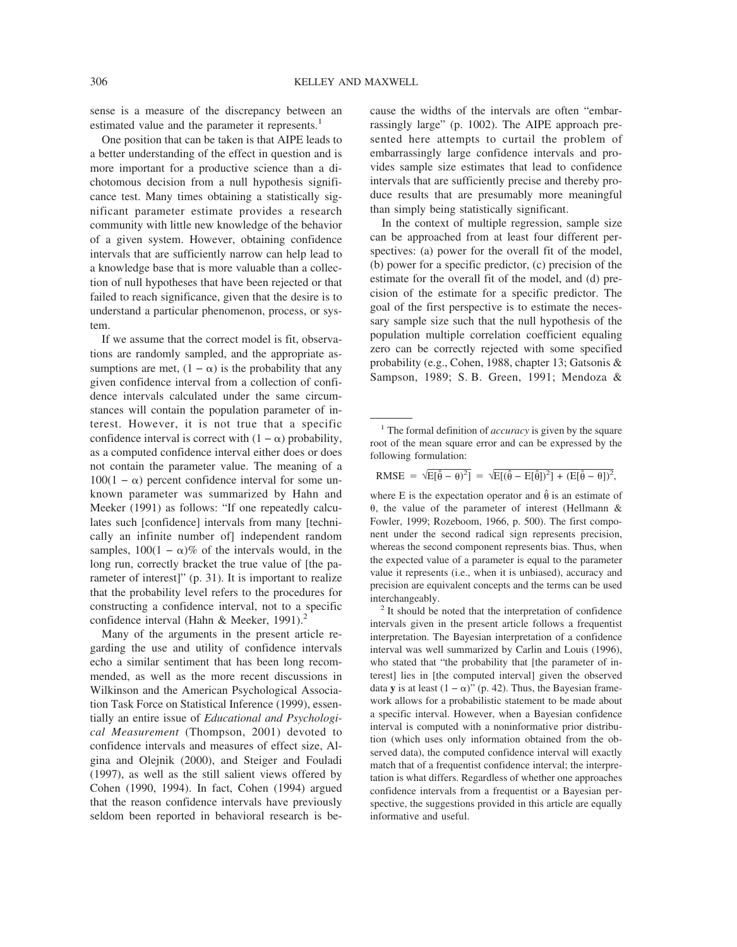sense is a measure of the discrepancy between an estimated value and the parameter it represents.<sup>1</sup>

One position that can be taken is that AIPE leads to a better understanding of the effect in question and is more important for a productive science than a dichotomous decision from a null hypothesis significance test. Many times obtaining a statistically significant parameter estimate provides a research community with little new knowledge of the behavior of a given system. However, obtaining confidence intervals that are sufficiently narrow can help lead to a knowledge base that is more valuable than a collection of null hypotheses that have been rejected or that failed to reach significance, given that the desire is to understand a particular phenomenon, process, or system.

If we assume that the correct model is fit, observations are randomly sampled, and the appropriate assumptions are met,  $(1 - \alpha)$  is the probability that any given confidence interval from a collection of confidence intervals calculated under the same circumstances will contain the population parameter of interest. However, it is not true that a specific confidence interval is correct with  $(1 - \alpha)$  probability, as a computed confidence interval either does or does not contain the parameter value. The meaning of a  $100(1 - \alpha)$  percent confidence interval for some unknown parameter was summarized by Hahn and Meeker (1991) as follows: "If one repeatedly calculates such [confidence] intervals from many [technically an infinite number of] independent random samples,  $100(1 - \alpha)$ % of the intervals would, in the long run, correctly bracket the true value of [the parameter of interest]" (p. 31). It is important to realize that the probability level refers to the procedures for constructing a confidence interval, not to a specific confidence interval (Hahn & Meeker, 1991).<sup>2</sup>

Many of the arguments in the present article regarding the use and utility of confidence intervals echo a similar sentiment that has been long recommended, as well as the more recent discussions in Wilkinson and the American Psychological Association Task Force on Statistical Inference (1999), essentially an entire issue of *Educational and Psychological Measurement* (Thompson, 2001) devoted to confidence intervals and measures of effect size, Algina and Olejnik (2000), and Steiger and Fouladi (1997), as well as the still salient views offered by Cohen (1990, 1994). In fact, Cohen (1994) argued that the reason confidence intervals have previously seldom been reported in behavioral research is because the widths of the intervals are often "embarrassingly large" (p. 1002). The AIPE approach presented here attempts to curtail the problem of embarrassingly large confidence intervals and provides sample size estimates that lead to confidence intervals that are sufficiently precise and thereby produce results that are presumably more meaningful than simply being statistically significant.

In the context of multiple regression, sample size can be approached from at least four different perspectives: (a) power for the overall fit of the model, (b) power for a specific predictor, (c) precision of the estimate for the overall fit of the model, and (d) precision of the estimate for a specific predictor. The goal of the first perspective is to estimate the necessary sample size such that the null hypothesis of the population multiple correlation coefficient equaling zero can be correctly rejected with some specified probability (e.g., Cohen, 1988, chapter 13; Gatsonis & Sampson, 1989; S. B. Green, 1991; Mendoza &

$$
RMSE = \sqrt{E[\hat{\theta} - \theta]^2} = \sqrt{E[(\hat{\theta} - E[\hat{\theta}])^2] + (E[\hat{\theta} - \theta])^2},
$$

where E is the expectation operator and  $\hat{\theta}$  is an estimate of -, the value of the parameter of interest (Hellmann & Fowler, 1999; Rozeboom, 1966, p. 500). The first component under the second radical sign represents precision, whereas the second component represents bias. Thus, when the expected value of a parameter is equal to the parameter value it represents (i.e., when it is unbiased), accuracy and precision are equivalent concepts and the terms can be used interchangeably. <sup>2</sup> It should be noted that the interpretation of confidence

intervals given in the present article follows a frequentist interpretation. The Bayesian interpretation of a confidence interval was well summarized by Carlin and Louis (1996), who stated that "the probability that [the parameter of interest] lies in [the computed interval] given the observed data **y** is at least  $(1 - \alpha)$ " (p. 42). Thus, the Bayesian framework allows for a probabilistic statement to be made about a specific interval. However, when a Bayesian confidence interval is computed with a noninformative prior distribution (which uses only information obtained from the observed data), the computed confidence interval will exactly match that of a frequentist confidence interval; the interpretation is what differs. Regardless of whether one approaches confidence intervals from a frequentist or a Bayesian perspective, the suggestions provided in this article are equally informative and useful.

<sup>&</sup>lt;sup>1</sup> The formal definition of *accuracy* is given by the square root of the mean square error and can be expressed by the following formulation: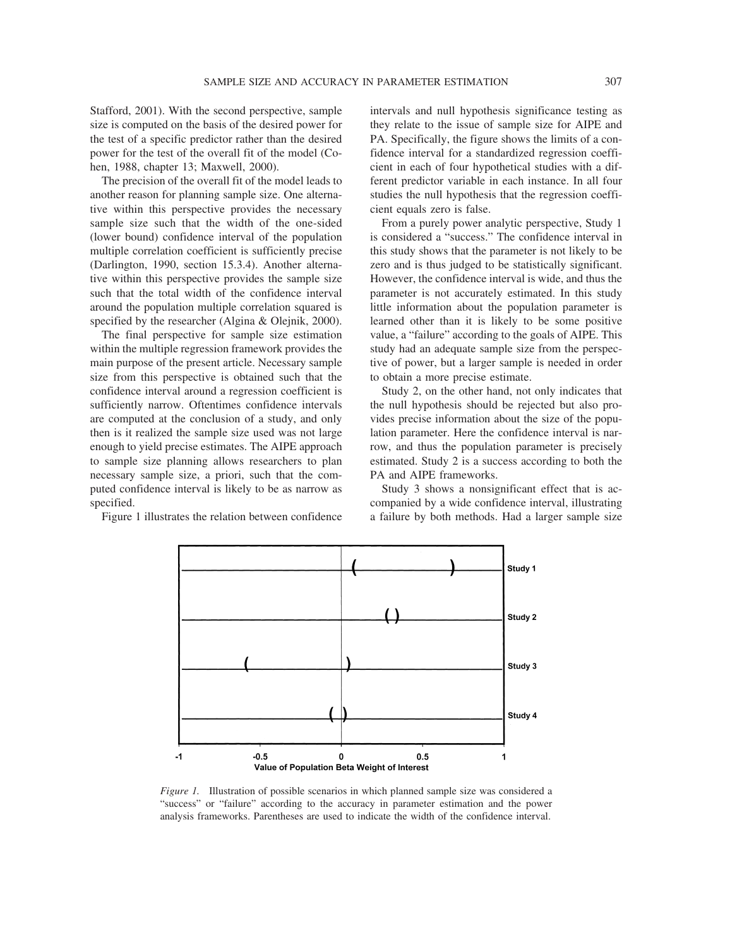Stafford, 2001). With the second perspective, sample size is computed on the basis of the desired power for the test of a specific predictor rather than the desired power for the test of the overall fit of the model (Cohen, 1988, chapter 13; Maxwell, 2000).

The precision of the overall fit of the model leads to another reason for planning sample size. One alternative within this perspective provides the necessary sample size such that the width of the one-sided (lower bound) confidence interval of the population multiple correlation coefficient is sufficiently precise (Darlington, 1990, section 15.3.4). Another alternative within this perspective provides the sample size such that the total width of the confidence interval around the population multiple correlation squared is specified by the researcher (Algina & Olejnik, 2000).

The final perspective for sample size estimation within the multiple regression framework provides the main purpose of the present article. Necessary sample size from this perspective is obtained such that the confidence interval around a regression coefficient is sufficiently narrow. Oftentimes confidence intervals are computed at the conclusion of a study, and only then is it realized the sample size used was not large enough to yield precise estimates. The AIPE approach to sample size planning allows researchers to plan necessary sample size, a priori, such that the computed confidence interval is likely to be as narrow as specified.

Figure 1 illustrates the relation between confidence

intervals and null hypothesis significance testing as they relate to the issue of sample size for AIPE and PA. Specifically, the figure shows the limits of a confidence interval for a standardized regression coefficient in each of four hypothetical studies with a different predictor variable in each instance. In all four studies the null hypothesis that the regression coefficient equals zero is false.

From a purely power analytic perspective, Study 1 is considered a "success." The confidence interval in this study shows that the parameter is not likely to be zero and is thus judged to be statistically significant. However, the confidence interval is wide, and thus the parameter is not accurately estimated. In this study little information about the population parameter is learned other than it is likely to be some positive value, a "failure" according to the goals of AIPE. This study had an adequate sample size from the perspective of power, but a larger sample is needed in order to obtain a more precise estimate.

Study 2, on the other hand, not only indicates that the null hypothesis should be rejected but also provides precise information about the size of the population parameter. Here the confidence interval is narrow, and thus the population parameter is precisely estimated. Study 2 is a success according to both the PA and AIPE frameworks.

Study 3 shows a nonsignificant effect that is accompanied by a wide confidence interval, illustrating a failure by both methods. Had a larger sample size



*Figure 1.* Illustration of possible scenarios in which planned sample size was considered a "success" or "failure" according to the accuracy in parameter estimation and the power analysis frameworks. Parentheses are used to indicate the width of the confidence interval.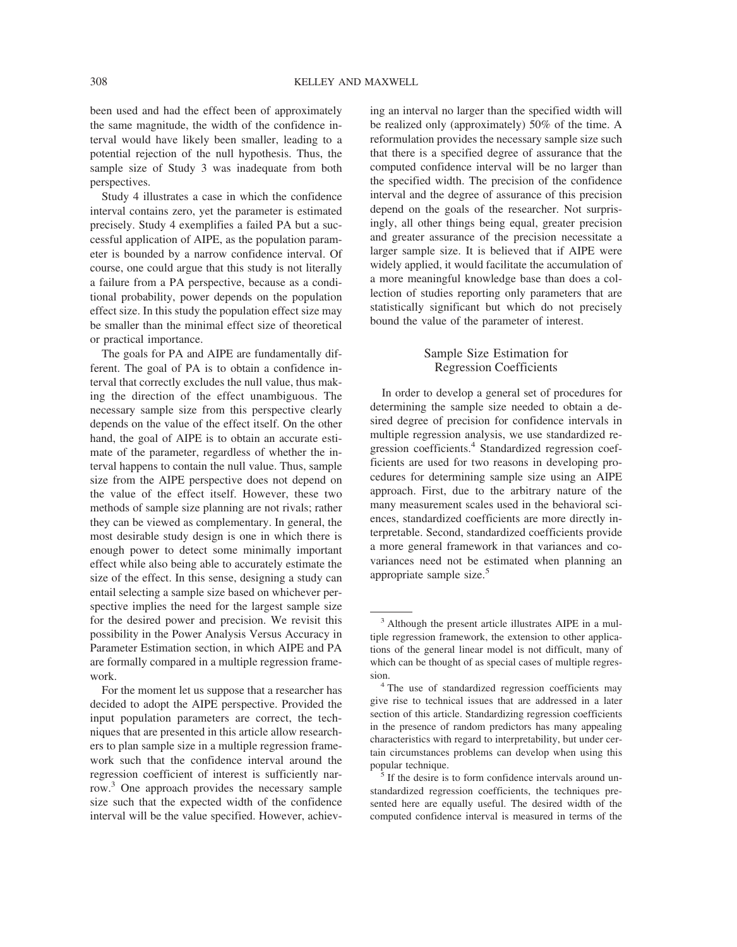been used and had the effect been of approximately the same magnitude, the width of the confidence interval would have likely been smaller, leading to a potential rejection of the null hypothesis. Thus, the sample size of Study 3 was inadequate from both perspectives.

Study 4 illustrates a case in which the confidence interval contains zero, yet the parameter is estimated precisely. Study 4 exemplifies a failed PA but a successful application of AIPE, as the population parameter is bounded by a narrow confidence interval. Of course, one could argue that this study is not literally a failure from a PA perspective, because as a conditional probability, power depends on the population effect size. In this study the population effect size may be smaller than the minimal effect size of theoretical or practical importance.

The goals for PA and AIPE are fundamentally different. The goal of PA is to obtain a confidence interval that correctly excludes the null value, thus making the direction of the effect unambiguous. The necessary sample size from this perspective clearly depends on the value of the effect itself. On the other hand, the goal of AIPE is to obtain an accurate estimate of the parameter, regardless of whether the interval happens to contain the null value. Thus, sample size from the AIPE perspective does not depend on the value of the effect itself. However, these two methods of sample size planning are not rivals; rather they can be viewed as complementary. In general, the most desirable study design is one in which there is enough power to detect some minimally important effect while also being able to accurately estimate the size of the effect. In this sense, designing a study can entail selecting a sample size based on whichever perspective implies the need for the largest sample size for the desired power and precision. We revisit this possibility in the Power Analysis Versus Accuracy in Parameter Estimation section, in which AIPE and PA are formally compared in a multiple regression framework.

For the moment let us suppose that a researcher has decided to adopt the AIPE perspective. Provided the input population parameters are correct, the techniques that are presented in this article allow researchers to plan sample size in a multiple regression framework such that the confidence interval around the regression coefficient of interest is sufficiently narrow.3 One approach provides the necessary sample size such that the expected width of the confidence interval will be the value specified. However, achieving an interval no larger than the specified width will be realized only (approximately) 50% of the time. A reformulation provides the necessary sample size such that there is a specified degree of assurance that the computed confidence interval will be no larger than the specified width. The precision of the confidence interval and the degree of assurance of this precision depend on the goals of the researcher. Not surprisingly, all other things being equal, greater precision and greater assurance of the precision necessitate a larger sample size. It is believed that if AIPE were widely applied, it would facilitate the accumulation of a more meaningful knowledge base than does a collection of studies reporting only parameters that are statistically significant but which do not precisely bound the value of the parameter of interest.

## Sample Size Estimation for Regression Coefficients

In order to develop a general set of procedures for determining the sample size needed to obtain a desired degree of precision for confidence intervals in multiple regression analysis, we use standardized regression coefficients.<sup>4</sup> Standardized regression coefficients are used for two reasons in developing procedures for determining sample size using an AIPE approach. First, due to the arbitrary nature of the many measurement scales used in the behavioral sciences, standardized coefficients are more directly interpretable. Second, standardized coefficients provide a more general framework in that variances and covariances need not be estimated when planning an appropriate sample size.<sup>5</sup>

<sup>3</sup> Although the present article illustrates AIPE in a multiple regression framework, the extension to other applications of the general linear model is not difficult, many of which can be thought of as special cases of multiple regres-

sion. <sup>4</sup> The use of standardized regression coefficients may give rise to technical issues that are addressed in a later section of this article. Standardizing regression coefficients in the presence of random predictors has many appealing characteristics with regard to interpretability, but under certain circumstances problems can develop when using this popular technique.<br><sup>5</sup> If the desire is to form confidence intervals around un-

standardized regression coefficients, the techniques presented here are equally useful. The desired width of the computed confidence interval is measured in terms of the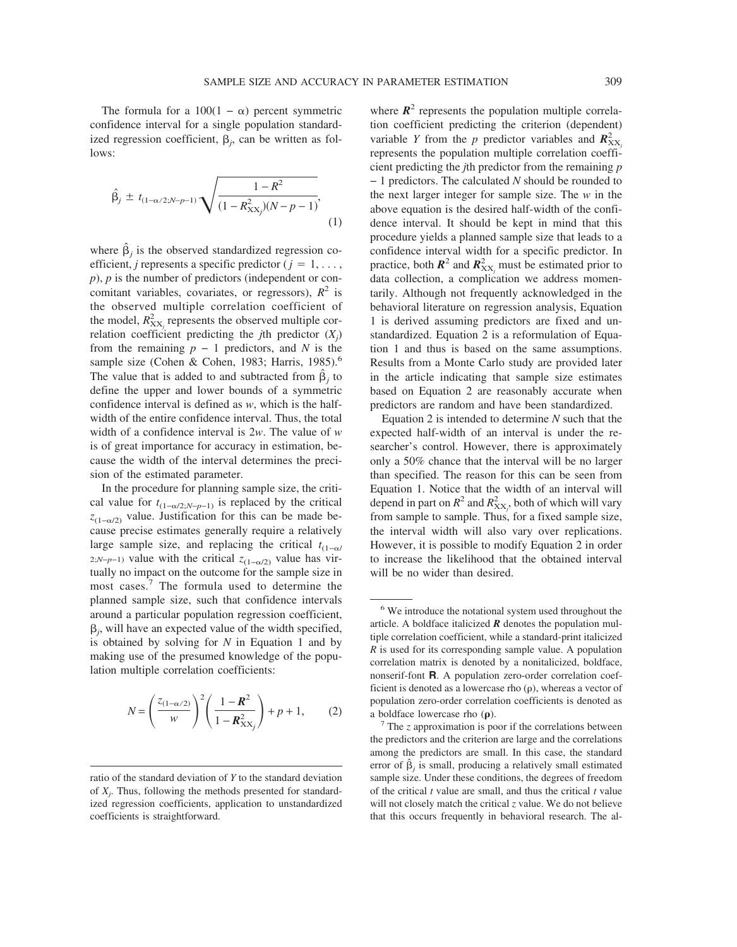The formula for a  $100(1 - \alpha)$  percent symmetric confidence interval for a single population standardized regression coefficient,  $\beta_j$ , can be written as fol-

$$
\hat{\beta}_j \pm t_{(1-\alpha/2; N-p-1)} \sqrt{\frac{1 - R^2}{(1 - R_{XX_j}^2)(N - p - 1)}},\tag{1}
$$

lows:

where  $\hat{\beta}_i$  is the observed standardized regression coefficient, *j* represents a specific predictor ( $j = 1, \ldots$ , *p*), *p* is the number of predictors (independent or concomitant variables, covariates, or regressors),  $R^2$  is the observed multiple correlation coefficient of the model,  $R_{XX_j}^2$  represents the observed multiple correlation coefficient predicting the *j*th predictor  $(X_j)$ from the remaining  $p - 1$  predictors, and *N* is the sample size (Cohen & Cohen, 1983; Harris, 1985).<sup>6</sup> The value that is added to and subtracted from  $\beta_i$  to define the upper and lower bounds of a symmetric confidence interval is defined as *w*, which is the halfwidth of the entire confidence interval. Thus, the total width of a confidence interval is 2*w*. The value of *w* is of great importance for accuracy in estimation, because the width of the interval determines the precision of the estimated parameter.

In the procedure for planning sample size, the critical value for  $t_{(1-\alpha/2;N-p-1)}$  is replaced by the critical  $z_{(1-\alpha/2)}$  value. Justification for this can be made because precise estimates generally require a relatively large sample size, and replacing the critical  $t_{(1-\alpha)}$ 2;*N*−*p*−1) value with the critical  $z_{(1-\alpha/2)}$  value has virtually no impact on the outcome for the sample size in most cases.<sup>7</sup> The formula used to determine the planned sample size, such that confidence intervals around a particular population regression coefficient,  $\beta_j$ , will have an expected value of the width specified, is obtained by solving for *N* in Equation 1 and by making use of the presumed knowledge of the population multiple correlation coefficients:

$$
N = \left(\frac{z_{(1-\alpha/2)}}{w}\right)^2 \left(\frac{1 - R^2}{1 - R_{XX_j}^2}\right) + p + 1, \qquad (2)
$$

where  $\mathbb{R}^2$  represents the population multiple correlation coefficient predicting the criterion (dependent) variable *Y* from the *p* predictor variables and  $\mathbb{R}_{XX}^2$ represents the population multiple correlation coefficient predicting the *j*th predictor from the remaining *p* − 1 predictors. The calculated *N* should be rounded to the next larger integer for sample size. The *w* in the above equation is the desired half-width of the confidence interval. It should be kept in mind that this procedure yields a planned sample size that leads to a confidence interval width for a specific predictor. In practice, both  $\mathbb{R}^2$  and  $\mathbb{R}^2_{XX_j}$  must be estimated prior to data collection, a complication we address momentarily. Although not frequently acknowledged in the behavioral literature on regression analysis, Equation 1 is derived assuming predictors are fixed and unstandardized. Equation 2 is a reformulation of Equation 1 and thus is based on the same assumptions. Results from a Monte Carlo study are provided later in the article indicating that sample size estimates based on Equation 2 are reasonably accurate when predictors are random and have been standardized.

Equation 2 is intended to determine *N* such that the expected half-width of an interval is under the researcher's control. However, there is approximately only a 50% chance that the interval will be no larger than specified. The reason for this can be seen from Equation 1. Notice that the width of an interval will depend in part on  $R^2$  and  $R^2_{XX}$ , both of which will vary from sample to sample. Thus, for a fixed sample size, the interval width will also vary over replications. However, it is possible to modify Equation 2 in order to increase the likelihood that the obtained interval will be no wider than desired.

ratio of the standard deviation of *Y* to the standard deviation of *Xj* . Thus, following the methods presented for standardized regression coefficients, application to unstandardized coefficients is straightforward.

<sup>6</sup> We introduce the notational system used throughout the article. A boldface italicized *R* denotes the population multiple correlation coefficient, while a standard-print italicized *R* is used for its corresponding sample value. A population correlation matrix is denoted by a nonitalicized, boldface, nonserif-font **R**. A population zero-order correlation coefficient is denoted as a lowercase rho  $(\rho)$ , whereas a vector of population zero-order correlation coefficients is denoted as a boldface lowercase rho  $(\rho)$ .<br><sup>7</sup> The *z* approximation is poor if the correlations between

the predictors and the criterion are large and the correlations among the predictors are small. In this case, the standard error of  $\beta_i$  is small, producing a relatively small estimated sample size. Under these conditions, the degrees of freedom of the critical *t* value are small, and thus the critical *t* value will not closely match the critical *z* value. We do not believe that this occurs frequently in behavioral research. The al-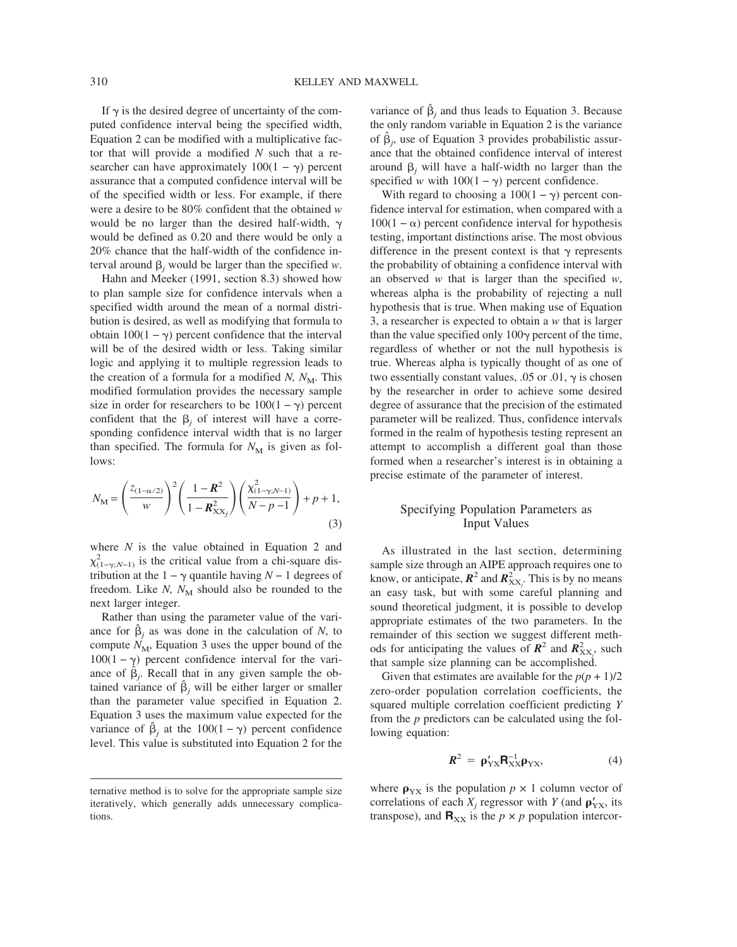If  $\gamma$  is the desired degree of uncertainty of the computed confidence interval being the specified width, Equation 2 can be modified with a multiplicative factor that will provide a modified *N* such that a researcher can have approximately  $100(1 - \gamma)$  percent assurance that a computed confidence interval will be of the specified width or less. For example, if there were a desire to be 80% confident that the obtained *w* would be no larger than the desired half-width,  $\gamma$ would be defined as 0.20 and there would be only a 20% chance that the half-width of the confidence interval around  $\beta$ , would be larger than the specified *w*.

Hahn and Meeker (1991, section 8.3) showed how to plan sample size for confidence intervals when a specified width around the mean of a normal distribution is desired, as well as modifying that formula to obtain  $100(1 - \gamma)$  percent confidence that the interval will be of the desired width or less. Taking similar logic and applying it to multiple regression leads to the creation of a formula for a modified  $N$ ,  $N_M$ . This modified formulation provides the necessary sample size in order for researchers to be  $100(1 - \gamma)$  percent confident that the  $\beta_i$  of interest will have a corresponding confidence interval width that is no larger than specified. The formula for  $N<sub>M</sub>$  is given as follows:

$$
N_{\mathbf{M}} = \left(\frac{z_{(1-\alpha/2)}}{w}\right)^2 \left(\frac{1-\mathbf{R}^2}{1-\mathbf{R}_{XX_j}^2}\right) \left(\frac{\chi_{(1-\gamma;N-1)}^2}{N-p-1}\right) + p + 1,
$$
\n(3)

where *N* is the value obtained in Equation 2 and  $\chi^2_{(1-\gamma;N-1)}$  is the critical value from a chi-square distribution at the 1 − quantile having *N* − 1 degrees of freedom. Like  $N$ ,  $N_M$  should also be rounded to the next larger integer.

Rather than using the parameter value of the variance for  $\beta_i$  as was done in the calculation of N, to compute  $N_M$ , Equation 3 uses the upper bound of the  $100(1 - \gamma)$  percent confidence interval for the variance of  $\hat{\beta}_j$ . Recall that in any given sample the obtained variance of  $\hat{\beta}_i$  will be either larger or smaller than the parameter value specified in Equation 2. Equation 3 uses the maximum value expected for the variance of  $\hat{\beta}_i$  at the 100(1 –  $\gamma$ ) percent confidence level. This value is substituted into Equation 2 for the

variance of  $\hat{\beta}_i$  and thus leads to Equation 3. Because the only random variable in Equation 2 is the variance of  $\hat{\beta}_j$ , use of Equation 3 provides probabilistic assurance that the obtained confidence interval of interest around  $\beta$ , will have a half-width no larger than the specified *w* with  $100(1 - \gamma)$  percent confidence.

With regard to choosing a  $100(1 - \gamma)$  percent confidence interval for estimation, when compared with a  $100(1 - \alpha)$  percent confidence interval for hypothesis testing, important distinctions arise. The most obvious difference in the present context is that  $\gamma$  represents the probability of obtaining a confidence interval with an observed *w* that is larger than the specified *w*, whereas alpha is the probability of rejecting a null hypothesis that is true. When making use of Equation 3, a researcher is expected to obtain a *w* that is larger than the value specified only  $100\gamma$  percent of the time, regardless of whether or not the null hypothesis is true. Whereas alpha is typically thought of as one of two essentially constant values,  $.05$  or  $.01$ ,  $\gamma$  is chosen by the researcher in order to achieve some desired degree of assurance that the precision of the estimated parameter will be realized. Thus, confidence intervals formed in the realm of hypothesis testing represent an attempt to accomplish a different goal than those formed when a researcher's interest is in obtaining a precise estimate of the parameter of interest.

## Specifying Population Parameters as Input Values

As illustrated in the last section, determining sample size through an AIPE approach requires one to know, or anticipate,  $\mathbf{R}^2$  and  $\mathbf{R}_{XX}^2$ . This is by no means an easy task, but with some careful planning and sound theoretical judgment, it is possible to develop appropriate estimates of the two parameters. In the remainder of this section we suggest different methods for anticipating the values of  $\mathbb{R}^2$  and  $\mathbb{R}^2_{XX}$ , such that sample size planning can be accomplished.

Given that estimates are available for the  $p(p + 1)/2$ zero-order population correlation coefficients, the squared multiple correlation coefficient predicting *Y* from the *p* predictors can be calculated using the following equation:

$$
\mathbf{R}^2 = \mathbf{\rho}'_{\mathbf{Y}\mathbf{X}} \mathbf{R}_{\mathbf{X}\mathbf{X}}^{-1} \mathbf{\rho}_{\mathbf{Y}\mathbf{X}},\tag{4}
$$

where  $\rho_{\text{YX}}$  is the population  $p \times 1$  column vector of correlations of each  $X_j$  regressor with *Y* (and  $\rho'_{XX}$ , its transpose), and  $\mathbf{R}_{XX}$  is the  $p \times p$  population intercor-

ternative method is to solve for the appropriate sample size iteratively, which generally adds unnecessary complications.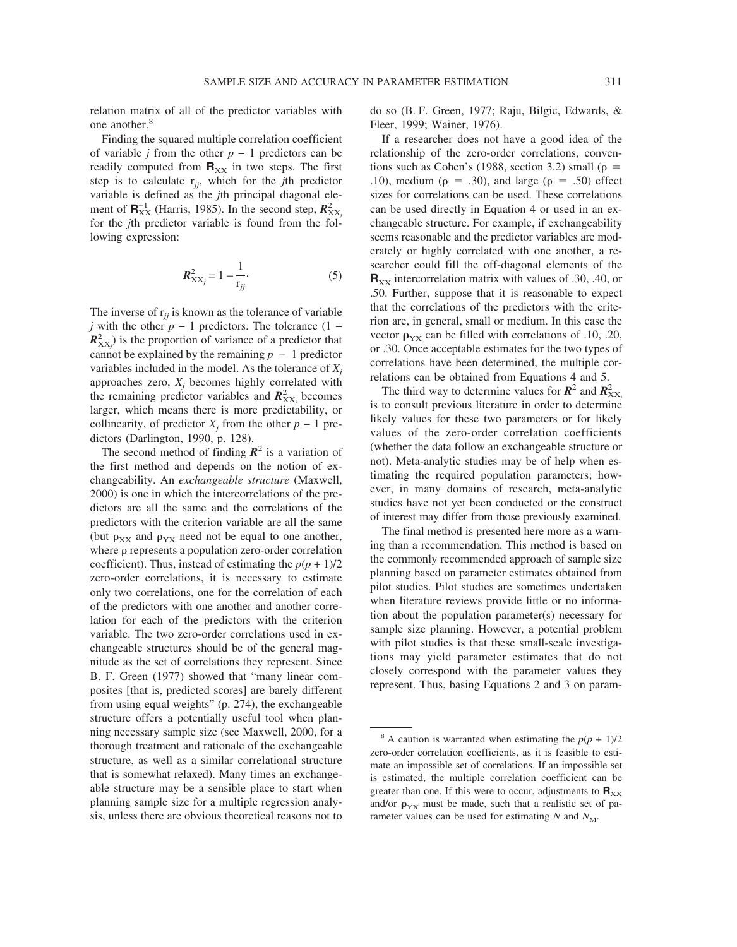relation matrix of all of the predictor variables with one another.<sup>8</sup>

Finding the squared multiple correlation coefficient of variable *j* from the other *p* − 1 predictors can be readily computed from  $\mathbf{R}_{XX}$  in two steps. The first step is to calculate  $r_{ji}$ , which for the *j*th predictor variable is defined as the *j*th principal diagonal element of  $\mathbf{R}_{XX}^{-1}$  (Harris, 1985). In the second step,  $\mathbf{R}_{XX_j}^2$ for the *j*th predictor variable is found from the following expression:

$$
R_{XX_j}^2 = 1 - \frac{1}{r_{jj}}.
$$
 (5)

The inverse of  $r_{ij}$  is known as the tolerance of variable *j* with the other  $p - 1$  predictors. The tolerance (1 −  $R_{XX}^2$ ) is the proportion of variance of a predictor that cannot be explained by the remaining  $p - 1$  predictor variables included in the model. As the tolerance of  $X_i$ approaches zero,  $X_i$  becomes highly correlated with the remaining predictor variables and  $\mathbb{R}^2_{XX_j}$  becomes larger, which means there is more predictability, or collinearity, of predictor  $X_i$  from the other  $p - 1$  predictors (Darlington, 1990, p. 128).

The second method of finding  $\mathbb{R}^2$  is a variation of the first method and depends on the notion of exchangeability. An *exchangeable structure* (Maxwell, 2000) is one in which the intercorrelations of the predictors are all the same and the correlations of the predictors with the criterion variable are all the same (but  $\rho_{XX}$  and  $\rho_{YX}$  need not be equal to one another, where  $\rho$  represents a population zero-order correlation coefficient). Thus, instead of estimating the  $p(p + 1)/2$ zero-order correlations, it is necessary to estimate only two correlations, one for the correlation of each of the predictors with one another and another correlation for each of the predictors with the criterion variable. The two zero-order correlations used in exchangeable structures should be of the general magnitude as the set of correlations they represent. Since B. F. Green (1977) showed that "many linear composites [that is, predicted scores] are barely different from using equal weights" (p. 274), the exchangeable structure offers a potentially useful tool when planning necessary sample size (see Maxwell, 2000, for a thorough treatment and rationale of the exchangeable structure, as well as a similar correlational structure that is somewhat relaxed). Many times an exchangeable structure may be a sensible place to start when planning sample size for a multiple regression analysis, unless there are obvious theoretical reasons not to

do so (B. F. Green, 1977; Raju, Bilgic, Edwards, & Fleer, 1999; Wainer, 1976).

If a researcher does not have a good idea of the relationship of the zero-order correlations, conventions such as Cohen's (1988, section 3.2) small ( $\rho =$ .10), medium ( $\rho = .30$ ), and large ( $\rho = .50$ ) effect sizes for correlations can be used. These correlations can be used directly in Equation 4 or used in an exchangeable structure. For example, if exchangeability seems reasonable and the predictor variables are moderately or highly correlated with one another, a researcher could fill the off-diagonal elements of the  $\mathbf{R}_{XX}$  intercorrelation matrix with values of .30, .40, or .50. Further, suppose that it is reasonable to expect that the correlations of the predictors with the criterion are, in general, small or medium. In this case the vector  $\rho_{\rm YX}$  can be filled with correlations of .10, .20, or .30. Once acceptable estimates for the two types of correlations have been determined, the multiple correlations can be obtained from Equations 4 and 5.

The third way to determine values for  $\mathbb{R}^2$  and  $\mathbb{R}^2_{XX}$ is to consult previous literature in order to determine likely values for these two parameters or for likely values of the zero-order correlation coefficients (whether the data follow an exchangeable structure or not). Meta-analytic studies may be of help when estimating the required population parameters; however, in many domains of research, meta-analytic studies have not yet been conducted or the construct of interest may differ from those previously examined.

The final method is presented here more as a warning than a recommendation. This method is based on the commonly recommended approach of sample size planning based on parameter estimates obtained from pilot studies. Pilot studies are sometimes undertaken when literature reviews provide little or no information about the population parameter(s) necessary for sample size planning. However, a potential problem with pilot studies is that these small-scale investigations may yield parameter estimates that do not closely correspond with the parameter values they represent. Thus, basing Equations 2 and 3 on param-

<sup>&</sup>lt;sup>8</sup> A caution is warranted when estimating the  $p(p + 1)/2$ zero-order correlation coefficients, as it is feasible to estimate an impossible set of correlations. If an impossible set is estimated, the multiple correlation coefficient can be greater than one. If this were to occur, adjustments to  $\mathbf{R}_{XX}$ and/or  $\rho_{\rm YX}$  must be made, such that a realistic set of parameter values can be used for estimating *N* and  $N_M$ .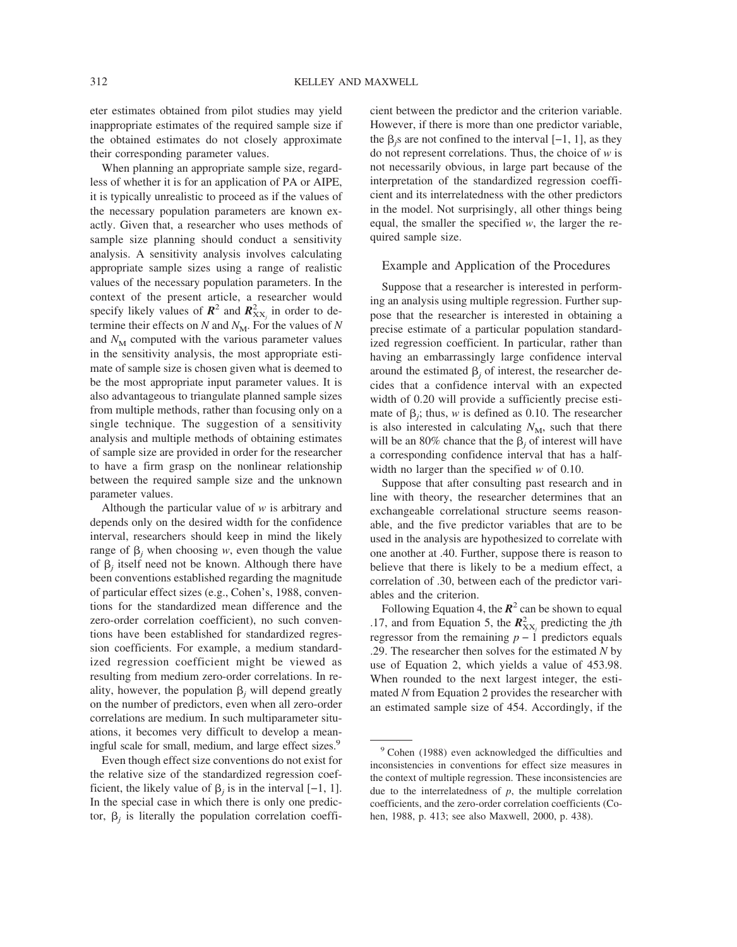eter estimates obtained from pilot studies may yield inappropriate estimates of the required sample size if the obtained estimates do not closely approximate their corresponding parameter values.

When planning an appropriate sample size, regardless of whether it is for an application of PA or AIPE, it is typically unrealistic to proceed as if the values of the necessary population parameters are known exactly. Given that, a researcher who uses methods of sample size planning should conduct a sensitivity analysis. A sensitivity analysis involves calculating appropriate sample sizes using a range of realistic values of the necessary population parameters. In the context of the present article, a researcher would specify likely values of  $\mathbb{R}^2$  and  $\mathbb{R}^2_{XX_j}$  in order to determine their effects on *N* and  $N_M$ . For the values of *N* and  $N_M$  computed with the various parameter values in the sensitivity analysis, the most appropriate estimate of sample size is chosen given what is deemed to be the most appropriate input parameter values. It is also advantageous to triangulate planned sample sizes from multiple methods, rather than focusing only on a single technique. The suggestion of a sensitivity analysis and multiple methods of obtaining estimates of sample size are provided in order for the researcher to have a firm grasp on the nonlinear relationship between the required sample size and the unknown parameter values.

Although the particular value of *w* is arbitrary and depends only on the desired width for the confidence interval, researchers should keep in mind the likely range of  $\beta$  when choosing *w*, even though the value of  $\beta$  itself need not be known. Although there have been conventions established regarding the magnitude of particular effect sizes (e.g., Cohen's, 1988, conventions for the standardized mean difference and the zero-order correlation coefficient), no such conventions have been established for standardized regression coefficients. For example, a medium standardized regression coefficient might be viewed as resulting from medium zero-order correlations. In reality, however, the population  $\beta_i$  will depend greatly on the number of predictors, even when all zero-order correlations are medium. In such multiparameter situations, it becomes very difficult to develop a meaningful scale for small, medium, and large effect sizes.<sup>9</sup>

Even though effect size conventions do not exist for the relative size of the standardized regression coefficient, the likely value of  $\beta_i$  is in the interval [−1, 1]. In the special case in which there is only one predictor,  $\beta_i$  is literally the population correlation coefficient between the predictor and the criterion variable. However, if there is more than one predictor variable, the  $\beta_j$ s are not confined to the interval [−1, 1], as they do not represent correlations. Thus, the choice of *w* is not necessarily obvious, in large part because of the interpretation of the standardized regression coefficient and its interrelatedness with the other predictors in the model. Not surprisingly, all other things being equal, the smaller the specified *w*, the larger the required sample size.

#### Example and Application of the Procedures

Suppose that a researcher is interested in performing an analysis using multiple regression. Further suppose that the researcher is interested in obtaining a precise estimate of a particular population standardized regression coefficient. In particular, rather than having an embarrassingly large confidence interval around the estimated  $\beta$  of interest, the researcher decides that a confidence interval with an expected width of 0.20 will provide a sufficiently precise estimate of  $\beta_j$ ; thus, *w* is defined as 0.10. The researcher is also interested in calculating  $N_M$ , such that there will be an 80% chance that the  $\beta$  of interest will have a corresponding confidence interval that has a halfwidth no larger than the specified *w* of 0.10.

Suppose that after consulting past research and in line with theory, the researcher determines that an exchangeable correlational structure seems reasonable, and the five predictor variables that are to be used in the analysis are hypothesized to correlate with one another at .40. Further, suppose there is reason to believe that there is likely to be a medium effect, a correlation of .30, between each of the predictor variables and the criterion.

Following Equation 4, the  $\mathbb{R}^2$  can be shown to equal .17, and from Equation 5, the  $\mathbb{R}^2_{XX_j}$  predicting the *j*th regressor from the remaining  $p - 1$  predictors equals .29. The researcher then solves for the estimated *N* by use of Equation 2, which yields a value of 453.98. When rounded to the next largest integer, the estimated *N* from Equation 2 provides the researcher with an estimated sample size of 454. Accordingly, if the

<sup>9</sup> Cohen (1988) even acknowledged the difficulties and inconsistencies in conventions for effect size measures in the context of multiple regression. These inconsistencies are due to the interrelatedness of *p*, the multiple correlation coefficients, and the zero-order correlation coefficients (Cohen, 1988, p. 413; see also Maxwell, 2000, p. 438).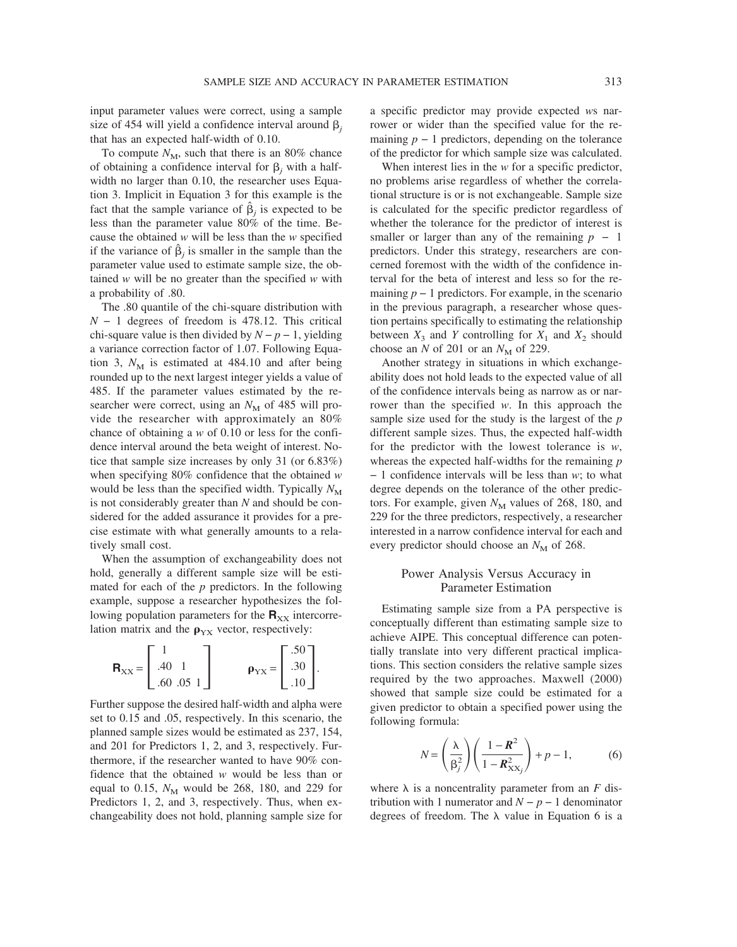input parameter values were correct, using a sample size of 454 will yield a confidence interval around  $\beta$ , that has an expected half-width of 0.10.

To compute  $N_M$ , such that there is an 80% chance of obtaining a confidence interval for  $\beta$ , with a halfwidth no larger than 0.10, the researcher uses Equation 3. Implicit in Equation 3 for this example is the fact that the sample variance of  $\hat{\beta}_i$  is expected to be less than the parameter value 80% of the time. Because the obtained *w* will be less than the *w* specified if the variance of  $\hat{\beta}_i$  is smaller in the sample than the parameter value used to estimate sample size, the obtained *w* will be no greater than the specified *w* with a probability of .80.

The .80 quantile of the chi-square distribution with *N* − 1 degrees of freedom is 478.12. This critical chi-square value is then divided by  $N - p - 1$ , yielding a variance correction factor of 1.07. Following Equation 3,  $N_M$  is estimated at 484.10 and after being rounded up to the next largest integer yields a value of 485. If the parameter values estimated by the researcher were correct, using an  $N_M$  of 485 will provide the researcher with approximately an 80% chance of obtaining a *w* of 0.10 or less for the confidence interval around the beta weight of interest. Notice that sample size increases by only 31 (or 6.83%) when specifying 80% confidence that the obtained *w* would be less than the specified width. Typically  $N_M$ is not considerably greater than *N* and should be considered for the added assurance it provides for a precise estimate with what generally amounts to a relatively small cost.

When the assumption of exchangeability does not hold, generally a different sample size will be estimated for each of the *p* predictors. In the following example, suppose a researcher hypothesizes the following population parameters for the  $\mathbf{R}_{XX}$  intercorrelation matrix and the  $\rho_{\text{YX}}$  vector, respectively:

$$
\mathbf{R}_{\mathbf{XX}} = \begin{bmatrix} 1 & & \\ .40 & 1 & \\ .60 & .05 & 1 \end{bmatrix} \qquad \mathbf{p}_{\mathbf{Y} \mathbf{X}} = \begin{bmatrix} .50 \\ .30 \\ .10 \end{bmatrix}.
$$

 $\overline{1}$ 

Further suppose the desired half-width and alpha were set to 0.15 and .05, respectively. In this scenario, the planned sample sizes would be estimated as 237, 154, and 201 for Predictors 1, 2, and 3, respectively. Furthermore, if the researcher wanted to have 90% confidence that the obtained *w* would be less than or equal to 0.15,  $N_{\rm M}$  would be 268, 180, and 229 for Predictors 1, 2, and 3, respectively. Thus, when exchangeability does not hold, planning sample size for

a specific predictor may provide expected *w*s narrower or wider than the specified value for the remaining  $p - 1$  predictors, depending on the tolerance of the predictor for which sample size was calculated.

When interest lies in the *w* for a specific predictor, no problems arise regardless of whether the correlational structure is or is not exchangeable. Sample size is calculated for the specific predictor regardless of whether the tolerance for the predictor of interest is smaller or larger than any of the remaining  $p - 1$ predictors. Under this strategy, researchers are concerned foremost with the width of the confidence interval for the beta of interest and less so for the remaining  $p - 1$  predictors. For example, in the scenario in the previous paragraph, a researcher whose question pertains specifically to estimating the relationship between  $X_3$  and *Y* controlling for  $X_1$  and  $X_2$  should choose an *N* of 201 or an  $N_M$  of 229.

Another strategy in situations in which exchangeability does not hold leads to the expected value of all of the confidence intervals being as narrow as or narrower than the specified *w*. In this approach the sample size used for the study is the largest of the *p* different sample sizes. Thus, the expected half-width for the predictor with the lowest tolerance is *w*, whereas the expected half-widths for the remaining *p* − 1 confidence intervals will be less than *w*; to what degree depends on the tolerance of the other predictors. For example, given  $N_M$  values of 268, 180, and 229 for the three predictors, respectively, a researcher interested in a narrow confidence interval for each and every predictor should choose an  $N_M$  of 268.

### Power Analysis Versus Accuracy in Parameter Estimation

Estimating sample size from a PA perspective is conceptually different than estimating sample size to achieve AIPE. This conceptual difference can potentially translate into very different practical implications. This section considers the relative sample sizes required by the two approaches. Maxwell (2000) showed that sample size could be estimated for a given predictor to obtain a specified power using the following formula:

$$
N = \left(\frac{\lambda}{\beta_j^2}\right) \left(\frac{1 - R^2}{1 - R_{XX_j}^2}\right) + p - 1,\tag{6}
$$

where  $\lambda$  is a noncentrality parameter from an *F* distribution with 1 numerator and  $N-p-1$  denominator degrees of freedom. The  $\lambda$  value in Equation 6 is a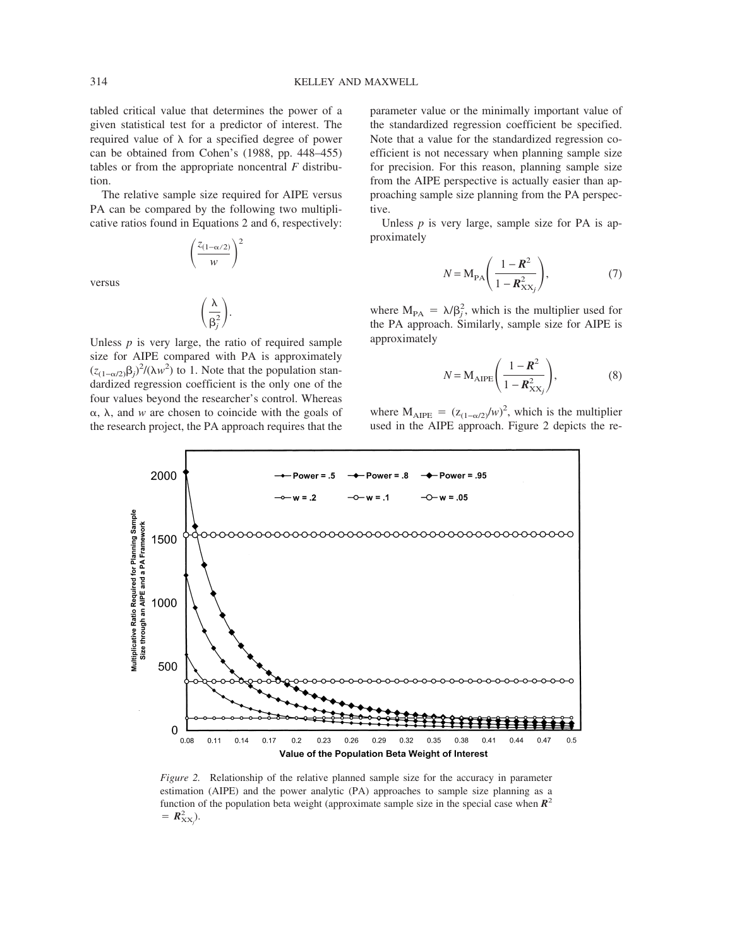tabled critical value that determines the power of a given statistical test for a predictor of interest. The required value of  $\lambda$  for a specified degree of power can be obtained from Cohen's (1988, pp. 448–455) tables or from the appropriate noncentral *F* distribution.

The relative sample size required for AIPE versus PA can be compared by the following two multiplicative ratios found in Equations 2 and 6, respectively:

$$
\left(\frac{z_{(1-\alpha/2)}}{w}\right)^2
$$

versus

$$
\bigg(\frac{\lambda}{\beta_j^2}\bigg).
$$

Unless  $p$  is very large, the ratio of required sample size for AIPE compared with PA is approximately  $(z_{(1-\alpha/2)}\beta_j)^2/(\lambda w^2)$  to 1. Note that the population standardized regression coefficient is the only one of the four values beyond the researcher's control. Whereas  $\alpha$ ,  $\lambda$ , and *w* are chosen to coincide with the goals of the research project, the PA approach requires that the

parameter value or the minimally important value of the standardized regression coefficient be specified. Note that a value for the standardized regression coefficient is not necessary when planning sample size for precision. For this reason, planning sample size from the AIPE perspective is actually easier than approaching sample size planning from the PA perspective.

Unless  $p$  is very large, sample size for PA is approximately

$$
N = M_{PA} \left( \frac{1 - \mathbf{R}^2}{1 - \mathbf{R}_{XX_j}^2} \right),
$$
 (7)

where  $M_{PA} = \lambda/\beta_j^2$ , which is the multiplier used for the PA approach. Similarly, sample size for AIPE is approximately

$$
N = M_{\text{AIPE}} \left( \frac{1 - \mathbf{R}^2}{1 - \mathbf{R}_{XX_j}^2} \right),\tag{8}
$$

where  $M_{\text{AIPE}} = (z_{(1-\alpha/2)}/w)^2$ , which is the multiplier used in the AIPE approach. Figure 2 depicts the re-



*Figure 2.* Relationship of the relative planned sample size for the accuracy in parameter estimation (AIPE) and the power analytic (PA) approaches to sample size planning as a function of the population beta weight (approximate sample size in the special case when  $R^2$ )  $= R_{XX_j}^2$ .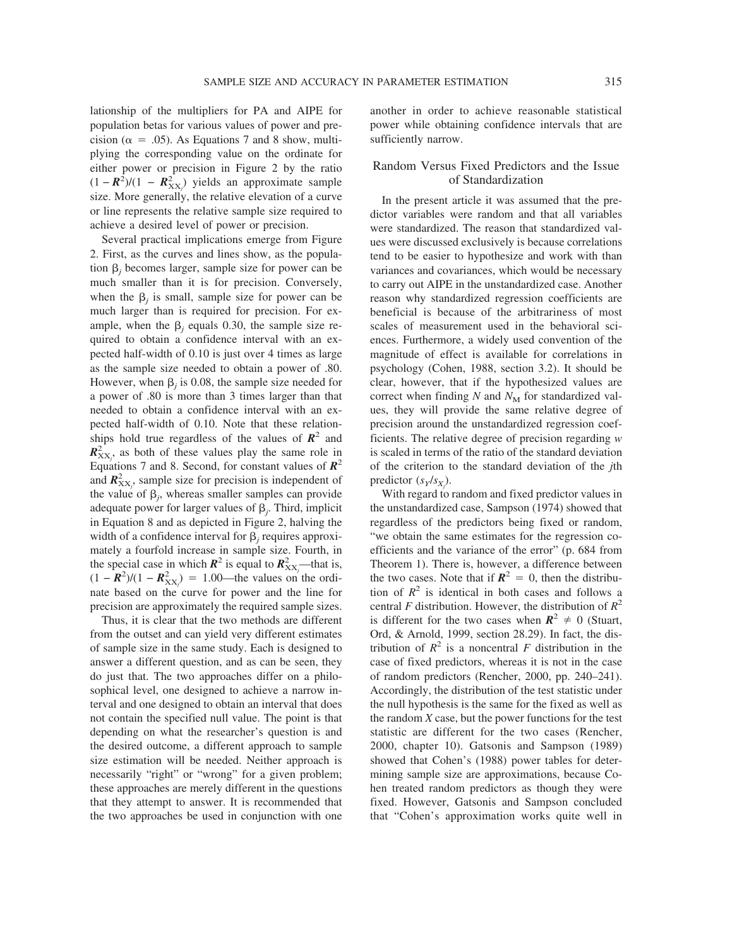lationship of the multipliers for PA and AIPE for population betas for various values of power and precision ( $\alpha = .05$ ). As Equations 7 and 8 show, multiplying the corresponding value on the ordinate for either power or precision in Figure 2 by the ratio  $(1 - R^2)/(1 - R_{XX}^2)$  yields an approximate sample size. More generally, the relative elevation of a curve or line represents the relative sample size required to achieve a desired level of power or precision.

Several practical implications emerge from Figure 2. First, as the curves and lines show, as the population  $\beta$  becomes larger, sample size for power can be much smaller than it is for precision. Conversely, when the  $\beta$ , is small, sample size for power can be much larger than is required for precision. For example, when the  $\beta$  equals 0.30, the sample size required to obtain a confidence interval with an expected half-width of 0.10 is just over 4 times as large as the sample size needed to obtain a power of .80. However, when  $\beta$  is 0.08, the sample size needed for a power of .80 is more than 3 times larger than that needed to obtain a confidence interval with an expected half-width of 0.10. Note that these relationships hold true regardless of the values of  $\mathbb{R}^2$  and  $R_{XX}^2$ , as both of these values play the same role in Equations 7 and 8. Second, for constant values of  $\mathbb{R}^2$ and  $\mathbb{R}^2_{XX}$ , sample size for precision is independent of the value of  $\beta_j$ , whereas smaller samples can provide adequate power for larger values of *<sup>j</sup>* . Third, implicit in Equation 8 and as depicted in Figure 2, halving the width of a confidence interval for  $\beta$ , requires approximately a fourfold increase in sample size. Fourth, in the special case in which  $\mathbf{R}^2$  is equal to  $\mathbf{R}_{XX}^2$ —that is,  $(1 - \mathbf{R}^2)/(1 - \mathbf{R}_{XX}^2) = 1.00$ —the values on the ordinate based on the curve for power and the line for precision are approximately the required sample sizes.

Thus, it is clear that the two methods are different from the outset and can yield very different estimates of sample size in the same study. Each is designed to answer a different question, and as can be seen, they do just that. The two approaches differ on a philosophical level, one designed to achieve a narrow interval and one designed to obtain an interval that does not contain the specified null value. The point is that depending on what the researcher's question is and the desired outcome, a different approach to sample size estimation will be needed. Neither approach is necessarily "right" or "wrong" for a given problem; these approaches are merely different in the questions that they attempt to answer. It is recommended that the two approaches be used in conjunction with one

another in order to achieve reasonable statistical power while obtaining confidence intervals that are sufficiently narrow.

# Random Versus Fixed Predictors and the Issue of Standardization

In the present article it was assumed that the predictor variables were random and that all variables were standardized. The reason that standardized values were discussed exclusively is because correlations tend to be easier to hypothesize and work with than variances and covariances, which would be necessary to carry out AIPE in the unstandardized case. Another reason why standardized regression coefficients are beneficial is because of the arbitrariness of most scales of measurement used in the behavioral sciences. Furthermore, a widely used convention of the magnitude of effect is available for correlations in psychology (Cohen, 1988, section 3.2). It should be clear, however, that if the hypothesized values are correct when finding  $N$  and  $N<sub>M</sub>$  for standardized values, they will provide the same relative degree of precision around the unstandardized regression coefficients. The relative degree of precision regarding *w* is scaled in terms of the ratio of the standard deviation of the criterion to the standard deviation of the *j*th predictor  $(s_Y / s_{X_j})$ .

With regard to random and fixed predictor values in the unstandardized case, Sampson (1974) showed that regardless of the predictors being fixed or random, "we obtain the same estimates for the regression coefficients and the variance of the error" (p. 684 from Theorem 1). There is, however, a difference between the two cases. Note that if  $\mathbb{R}^2 = 0$ , then the distribution of  $R^2$  is identical in both cases and follows a central *F* distribution. However, the distribution of  $R^2$ is different for the two cases when  $\mathbb{R}^2 \neq 0$  (Stuart, Ord, & Arnold, 1999, section 28.29). In fact, the distribution of  $R^2$  is a noncentral *F* distribution in the case of fixed predictors, whereas it is not in the case of random predictors (Rencher, 2000, pp. 240–241). Accordingly, the distribution of the test statistic under the null hypothesis is the same for the fixed as well as the random *X* case, but the power functions for the test statistic are different for the two cases (Rencher, 2000, chapter 10). Gatsonis and Sampson (1989) showed that Cohen's (1988) power tables for determining sample size are approximations, because Cohen treated random predictors as though they were fixed. However, Gatsonis and Sampson concluded that "Cohen's approximation works quite well in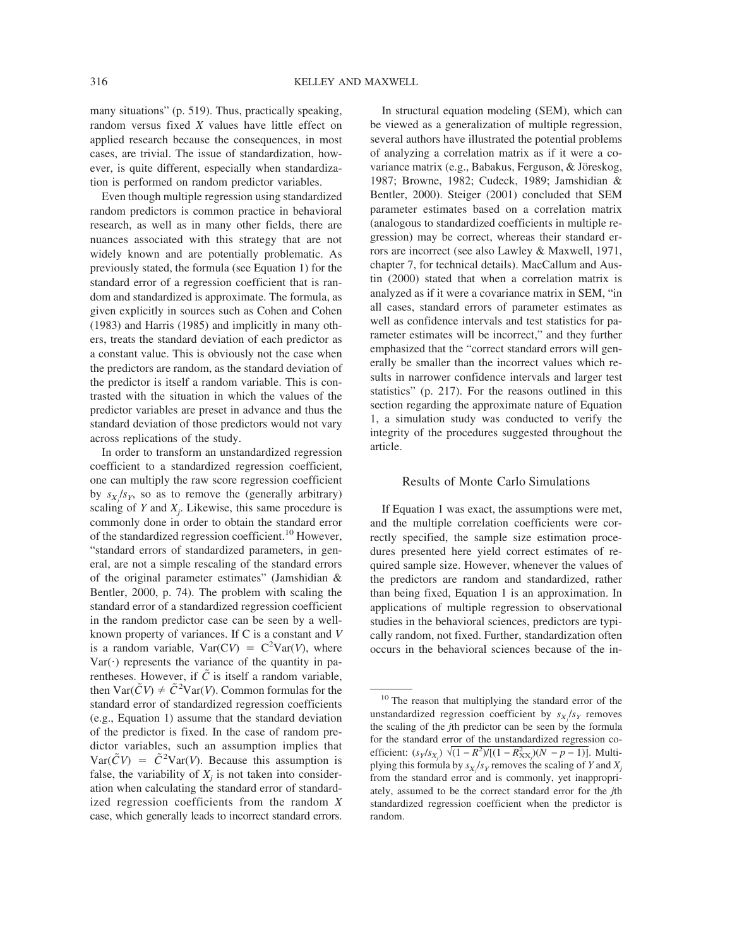many situations" (p. 519). Thus, practically speaking, random versus fixed *X* values have little effect on applied research because the consequences, in most cases, are trivial. The issue of standardization, however, is quite different, especially when standardization is performed on random predictor variables.

Even though multiple regression using standardized random predictors is common practice in behavioral research, as well as in many other fields, there are nuances associated with this strategy that are not widely known and are potentially problematic. As previously stated, the formula (see Equation 1) for the standard error of a regression coefficient that is random and standardized is approximate. The formula, as given explicitly in sources such as Cohen and Cohen (1983) and Harris (1985) and implicitly in many others, treats the standard deviation of each predictor as a constant value. This is obviously not the case when the predictors are random, as the standard deviation of the predictor is itself a random variable. This is contrasted with the situation in which the values of the predictor variables are preset in advance and thus the standard deviation of those predictors would not vary across replications of the study.

In order to transform an unstandardized regression coefficient to a standardized regression coefficient, one can multiply the raw score regression coefficient by  $s_{X}/s_Y$ , so as to remove the (generally arbitrary) scaling of  $Y$  and  $X_j$ . Likewise, this same procedure is commonly done in order to obtain the standard error of the standardized regression coefficient.<sup>10</sup> However, "standard errors of standardized parameters, in general, are not a simple rescaling of the standard errors of the original parameter estimates" (Jamshidian & Bentler, 2000, p. 74). The problem with scaling the standard error of a standardized regression coefficient in the random predictor case can be seen by a wellknown property of variances. If C is a constant and *V* is a random variable,  $Var(CV) = C^2Var(V)$ , where  $Var(\cdot)$  represents the variance of the quantity in parentheses. However, if  $\tilde{C}$  is itself a random variable, then  $\text{Var}(\tilde{C}V) \neq \tilde{C}^2 \text{Var}(V)$ . Common formulas for the standard error of standardized regression coefficients (e.g., Equation 1) assume that the standard deviation of the predictor is fixed. In the case of random predictor variables, such an assumption implies that  $Var(\tilde{C}V) = \tilde{C}^2 Var(V)$ . Because this assumption is false, the variability of  $X_i$  is not taken into consideration when calculating the standard error of standardized regression coefficients from the random *X* case, which generally leads to incorrect standard errors.

In structural equation modeling (SEM), which can be viewed as a generalization of multiple regression, several authors have illustrated the potential problems of analyzing a correlation matrix as if it were a covariance matrix (e.g., Babakus, Ferguson, & Jöreskog, 1987; Browne, 1982; Cudeck, 1989; Jamshidian & Bentler, 2000). Steiger (2001) concluded that SEM parameter estimates based on a correlation matrix (analogous to standardized coefficients in multiple regression) may be correct, whereas their standard errors are incorrect (see also Lawley & Maxwell, 1971, chapter 7, for technical details). MacCallum and Austin (2000) stated that when a correlation matrix is analyzed as if it were a covariance matrix in SEM, "in all cases, standard errors of parameter estimates as well as confidence intervals and test statistics for parameter estimates will be incorrect," and they further emphasized that the "correct standard errors will generally be smaller than the incorrect values which results in narrower confidence intervals and larger test statistics" (p. 217). For the reasons outlined in this section regarding the approximate nature of Equation 1, a simulation study was conducted to verify the integrity of the procedures suggested throughout the article.

#### Results of Monte Carlo Simulations

If Equation 1 was exact, the assumptions were met, and the multiple correlation coefficients were correctly specified, the sample size estimation procedures presented here yield correct estimates of required sample size. However, whenever the values of the predictors are random and standardized, rather than being fixed, Equation 1 is an approximation. In applications of multiple regression to observational studies in the behavioral sciences, predictors are typically random, not fixed. Further, standardization often occurs in the behavioral sciences because of the in-

<sup>10</sup> The reason that multiplying the standard error of the unstandardized regression coefficient by  $s_{X_j}/s_Y$  removes the scaling of the *j*th predictor can be seen by the formula for the standard error of the unstandardized regression coefficient:  $(s_Y/s_{X_j}) \sqrt{(1 - R^2)/[(1 - R_{XX_j}^2)(N - p - 1)]}$ . Multiplying this formula by  $s_{X_j}/s_Y$  removes the scaling of *Y* and  $X_j$ from the standard error and is commonly, yet inappropriately, assumed to be the correct standard error for the *j*th standardized regression coefficient when the predictor is random.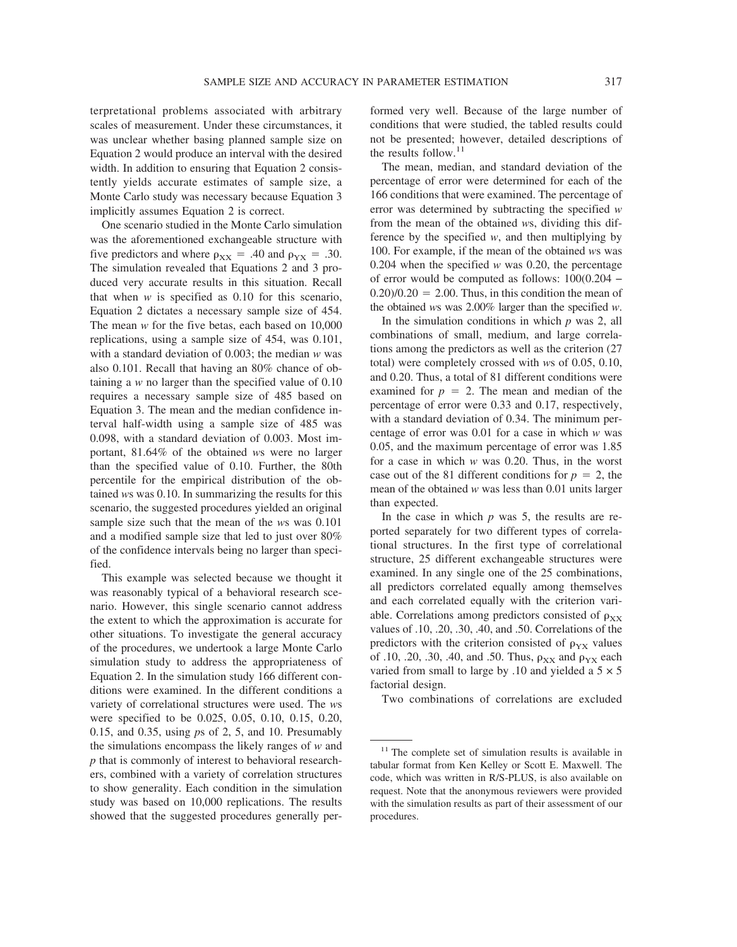terpretational problems associated with arbitrary scales of measurement. Under these circumstances, it was unclear whether basing planned sample size on Equation 2 would produce an interval with the desired width. In addition to ensuring that Equation 2 consistently yields accurate estimates of sample size, a Monte Carlo study was necessary because Equation 3 implicitly assumes Equation 2 is correct.

One scenario studied in the Monte Carlo simulation was the aforementioned exchangeable structure with five predictors and where  $\rho_{XX}$  = .40 and  $\rho_{YX}$  = .30. The simulation revealed that Equations 2 and 3 produced very accurate results in this situation. Recall that when *w* is specified as 0.10 for this scenario, Equation 2 dictates a necessary sample size of 454. The mean *w* for the five betas, each based on 10,000 replications, using a sample size of 454, was 0.101, with a standard deviation of 0.003; the median *w* was also 0.101. Recall that having an 80% chance of obtaining a *w* no larger than the specified value of 0.10 requires a necessary sample size of 485 based on Equation 3. The mean and the median confidence interval half-width using a sample size of 485 was 0.098, with a standard deviation of 0.003. Most important, 81.64% of the obtained *w*s were no larger than the specified value of 0.10. Further, the 80th percentile for the empirical distribution of the obtained *w*s was 0.10. In summarizing the results for this scenario, the suggested procedures yielded an original sample size such that the mean of the *w*s was 0.101 and a modified sample size that led to just over 80% of the confidence intervals being no larger than specified.

This example was selected because we thought it was reasonably typical of a behavioral research scenario. However, this single scenario cannot address the extent to which the approximation is accurate for other situations. To investigate the general accuracy of the procedures, we undertook a large Monte Carlo simulation study to address the appropriateness of Equation 2. In the simulation study 166 different conditions were examined. In the different conditions a variety of correlational structures were used. The *w*s were specified to be 0.025, 0.05, 0.10, 0.15, 0.20, 0.15, and 0.35, using *p*s of 2, 5, and 10. Presumably the simulations encompass the likely ranges of *w* and *p* that is commonly of interest to behavioral researchers, combined with a variety of correlation structures to show generality. Each condition in the simulation study was based on 10,000 replications. The results showed that the suggested procedures generally performed very well. Because of the large number of conditions that were studied, the tabled results could not be presented; however, detailed descriptions of the results follow.<sup>11</sup>

The mean, median, and standard deviation of the percentage of error were determined for each of the 166 conditions that were examined. The percentage of error was determined by subtracting the specified *w* from the mean of the obtained *w*s, dividing this difference by the specified *w*, and then multiplying by 100. For example, if the mean of the obtained *w*s was 0.204 when the specified *w* was 0.20, the percentage of error would be computed as follows: 100(0.204 −  $(0.20)/0.20 = 2.00$ . Thus, in this condition the mean of the obtained *w*s was 2.00% larger than the specified *w*.

In the simulation conditions in which *p* was 2, all combinations of small, medium, and large correlations among the predictors as well as the criterion (27 total) were completely crossed with *w*s of 0.05, 0.10, and 0.20. Thus, a total of 81 different conditions were examined for  $p = 2$ . The mean and median of the percentage of error were 0.33 and 0.17, respectively, with a standard deviation of 0.34. The minimum percentage of error was 0.01 for a case in which *w* was 0.05, and the maximum percentage of error was 1.85 for a case in which *w* was 0.20. Thus, in the worst case out of the 81 different conditions for  $p = 2$ , the mean of the obtained *w* was less than 0.01 units larger than expected.

In the case in which  $p$  was 5, the results are reported separately for two different types of correlational structures. In the first type of correlational structure, 25 different exchangeable structures were examined. In any single one of the 25 combinations, all predictors correlated equally among themselves and each correlated equally with the criterion variable. Correlations among predictors consisted of  $\rho_{XX}$ values of .10, .20, .30, .40, and .50. Correlations of the predictors with the criterion consisted of  $\rho_{\rm YX}$  values of .10, .20, .30, .40, and .50. Thus,  $\rho_{XX}$  and  $\rho_{YX}$  each varied from small to large by .10 and yielded a  $5 \times 5$ factorial design.

Two combinations of correlations are excluded

<sup>&</sup>lt;sup>11</sup> The complete set of simulation results is available in tabular format from Ken Kelley or Scott E. Maxwell. The code, which was written in R/S-PLUS, is also available on request. Note that the anonymous reviewers were provided with the simulation results as part of their assessment of our procedures.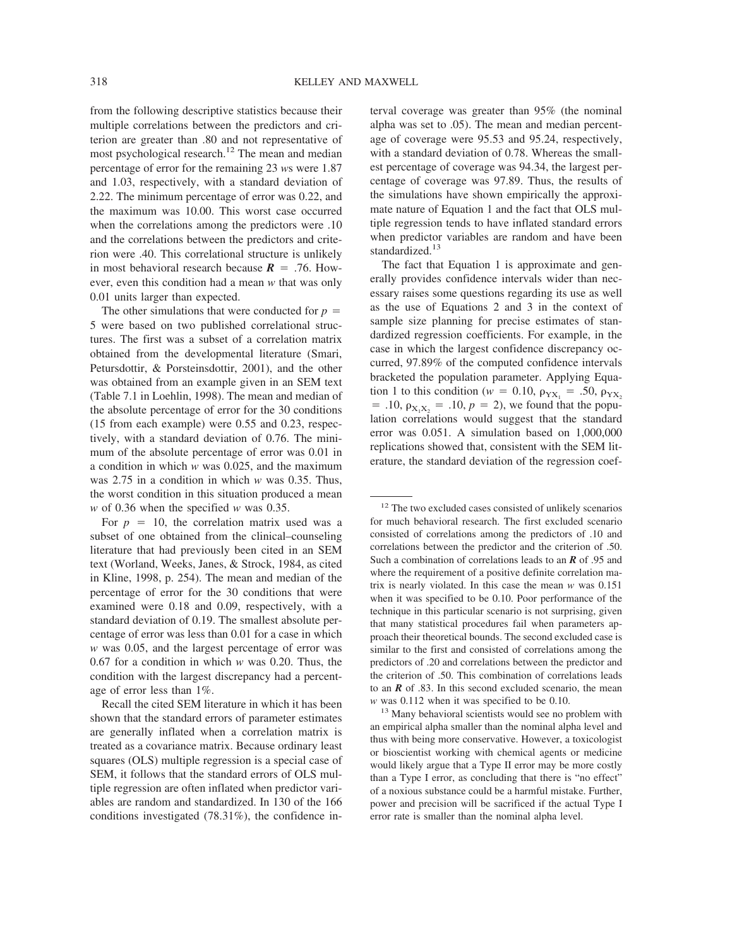from the following descriptive statistics because their multiple correlations between the predictors and criterion are greater than .80 and not representative of most psychological research.<sup>12</sup> The mean and median percentage of error for the remaining 23 *w*s were 1.87 and 1.03, respectively, with a standard deviation of 2.22. The minimum percentage of error was 0.22, and the maximum was 10.00. This worst case occurred when the correlations among the predictors were .10 and the correlations between the predictors and criterion were .40. This correlational structure is unlikely in most behavioral research because  $R = .76$ . However, even this condition had a mean *w* that was only 0.01 units larger than expected.

The other simulations that were conducted for  $p =$ 5 were based on two published correlational structures. The first was a subset of a correlation matrix obtained from the developmental literature (Smari, Petursdottir, & Porsteinsdottir, 2001), and the other was obtained from an example given in an SEM text (Table 7.1 in Loehlin, 1998). The mean and median of the absolute percentage of error for the 30 conditions (15 from each example) were 0.55 and 0.23, respectively, with a standard deviation of 0.76. The minimum of the absolute percentage of error was 0.01 in a condition in which *w* was 0.025, and the maximum was 2.75 in a condition in which *w* was 0.35. Thus, the worst condition in this situation produced a mean *w* of 0.36 when the specified *w* was 0.35.

For  $p = 10$ , the correlation matrix used was a subset of one obtained from the clinical–counseling literature that had previously been cited in an SEM text (Worland, Weeks, Janes, & Strock, 1984, as cited in Kline, 1998, p. 254). The mean and median of the percentage of error for the 30 conditions that were examined were 0.18 and 0.09, respectively, with a standard deviation of 0.19. The smallest absolute percentage of error was less than 0.01 for a case in which *w* was 0.05, and the largest percentage of error was 0.67 for a condition in which *w* was 0.20. Thus, the condition with the largest discrepancy had a percentage of error less than 1%.

Recall the cited SEM literature in which it has been shown that the standard errors of parameter estimates are generally inflated when a correlation matrix is treated as a covariance matrix. Because ordinary least squares (OLS) multiple regression is a special case of SEM, it follows that the standard errors of OLS multiple regression are often inflated when predictor variables are random and standardized. In 130 of the 166 conditions investigated (78.31%), the confidence interval coverage was greater than 95% (the nominal alpha was set to .05). The mean and median percentage of coverage were 95.53 and 95.24, respectively, with a standard deviation of 0.78. Whereas the smallest percentage of coverage was 94.34, the largest percentage of coverage was 97.89. Thus, the results of the simulations have shown empirically the approximate nature of Equation 1 and the fact that OLS multiple regression tends to have inflated standard errors when predictor variables are random and have been standardized.<sup>13</sup>

The fact that Equation 1 is approximate and generally provides confidence intervals wider than necessary raises some questions regarding its use as well as the use of Equations 2 and 3 in the context of sample size planning for precise estimates of standardized regression coefficients. For example, in the case in which the largest confidence discrepancy occurred, 97.89% of the computed confidence intervals bracketed the population parameter. Applying Equation 1 to this condition ( $w = 0.10$ ,  $\rho_{YX_1} = .50$ ,  $\rho_{YX_2}$  $= .10, p_{X_1X_2} = .10, p = 2$ , we found that the population correlations would suggest that the standard error was 0.051. A simulation based on 1,000,000 replications showed that, consistent with the SEM literature, the standard deviation of the regression coef-

<sup>&</sup>lt;sup>12</sup> The two excluded cases consisted of unlikely scenarios for much behavioral research. The first excluded scenario consisted of correlations among the predictors of .10 and correlations between the predictor and the criterion of .50. Such a combination of correlations leads to an *R* of .95 and where the requirement of a positive definite correlation matrix is nearly violated. In this case the mean *w* was 0.151 when it was specified to be 0.10. Poor performance of the technique in this particular scenario is not surprising, given that many statistical procedures fail when parameters approach their theoretical bounds. The second excluded case is similar to the first and consisted of correlations among the predictors of .20 and correlations between the predictor and the criterion of .50. This combination of correlations leads to an *R* of .83. In this second excluded scenario, the mean *w* was 0.112 when it was specified to be 0.10.

<sup>&</sup>lt;sup>13</sup> Many behavioral scientists would see no problem with an empirical alpha smaller than the nominal alpha level and thus with being more conservative. However, a toxicologist or bioscientist working with chemical agents or medicine would likely argue that a Type II error may be more costly than a Type I error, as concluding that there is "no effect" of a noxious substance could be a harmful mistake. Further, power and precision will be sacrificed if the actual Type I error rate is smaller than the nominal alpha level.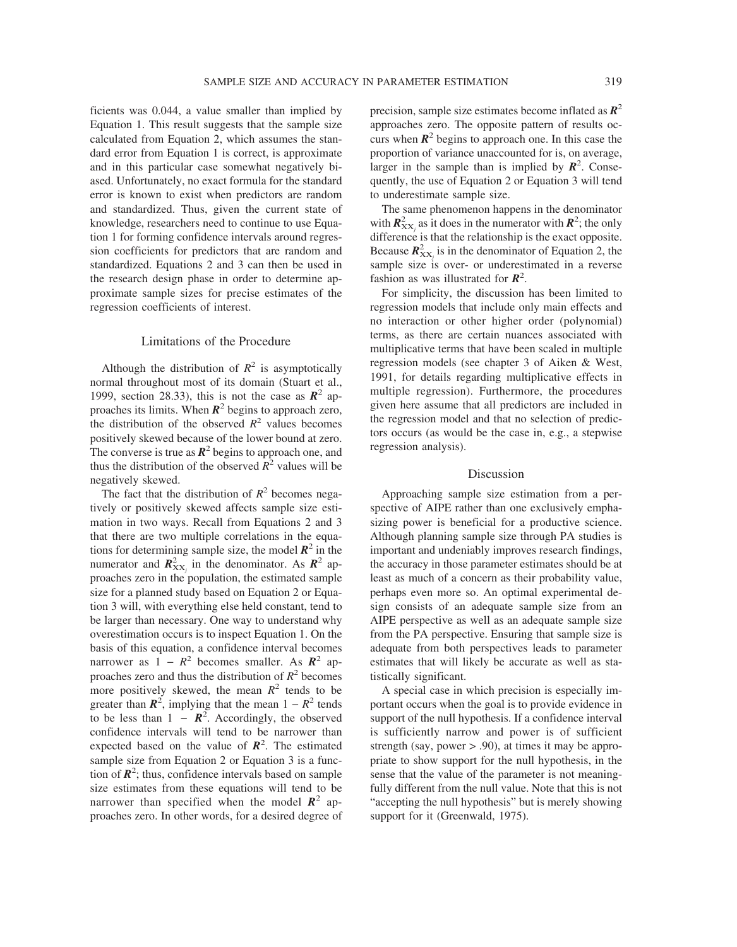ficients was 0.044, a value smaller than implied by Equation 1. This result suggests that the sample size calculated from Equation 2, which assumes the standard error from Equation 1 is correct, is approximate and in this particular case somewhat negatively biased. Unfortunately, no exact formula for the standard error is known to exist when predictors are random and standardized. Thus, given the current state of knowledge, researchers need to continue to use Equation 1 for forming confidence intervals around regression coefficients for predictors that are random and standardized. Equations 2 and 3 can then be used in the research design phase in order to determine approximate sample sizes for precise estimates of the regression coefficients of interest.

#### Limitations of the Procedure

Although the distribution of  $R^2$  is asymptotically normal throughout most of its domain (Stuart et al., 1999, section 28.33), this is not the case as  $\mathbb{R}^2$  approaches its limits. When  $\mathbb{R}^2$  begins to approach zero, the distribution of the observed  $R^2$  values becomes positively skewed because of the lower bound at zero. The converse is true as  $\mathbb{R}^2$  begins to approach one, and thus the distribution of the observed  $R^2$  values will be negatively skewed.

The fact that the distribution of  $R^2$  becomes negatively or positively skewed affects sample size estimation in two ways. Recall from Equations 2 and 3 that there are two multiple correlations in the equations for determining sample size, the model  $\mathbb{R}^2$  in the numerator and  $\mathbf{R}_{XX_j}^2$  in the denominator. As  $\mathbf{R}^2$  approaches zero in the population, the estimated sample size for a planned study based on Equation 2 or Equation 3 will, with everything else held constant, tend to be larger than necessary. One way to understand why overestimation occurs is to inspect Equation 1. On the basis of this equation, a confidence interval becomes narrower as  $1 - R^2$  becomes smaller. As  $\mathbb{R}^2$  approaches zero and thus the distribution of  $R^2$  becomes more positively skewed, the mean  $R^2$  tends to be greater than  $\mathbb{R}^2$ , implying that the mean  $1 - \mathbb{R}^2$  tends to be less than  $1 - R^2$ . Accordingly, the observed confidence intervals will tend to be narrower than expected based on the value of  $\mathbb{R}^2$ . The estimated sample size from Equation 2 or Equation 3 is a function of  $\mathbb{R}^2$ ; thus, confidence intervals based on sample size estimates from these equations will tend to be narrower than specified when the model  $\mathbb{R}^2$  approaches zero. In other words, for a desired degree of precision, sample size estimates become inflated as  $\mathbb{R}^2$ approaches zero. The opposite pattern of results occurs when  $\mathbb{R}^2$  begins to approach one. In this case the proportion of variance unaccounted for is, on average, larger in the sample than is implied by  $\mathbb{R}^2$ . Consequently, the use of Equation 2 or Equation 3 will tend to underestimate sample size.

The same phenomenon happens in the denominator with  $\mathbf{R}_{XX_j}^2$  as it does in the numerator with  $\mathbf{R}^2$ ; the only difference is that the relationship is the exact opposite. Because  $\mathbb{R}_{XX_j}^2$  is in the denominator of Equation 2, the sample size is over- or underestimated in a reverse fashion as was illustrated for  $\mathbb{R}^2$ .

For simplicity, the discussion has been limited to regression models that include only main effects and no interaction or other higher order (polynomial) terms, as there are certain nuances associated with multiplicative terms that have been scaled in multiple regression models (see chapter 3 of Aiken & West, 1991, for details regarding multiplicative effects in multiple regression). Furthermore, the procedures given here assume that all predictors are included in the regression model and that no selection of predictors occurs (as would be the case in, e.g., a stepwise regression analysis).

## Discussion

Approaching sample size estimation from a perspective of AIPE rather than one exclusively emphasizing power is beneficial for a productive science. Although planning sample size through PA studies is important and undeniably improves research findings, the accuracy in those parameter estimates should be at least as much of a concern as their probability value, perhaps even more so. An optimal experimental design consists of an adequate sample size from an AIPE perspective as well as an adequate sample size from the PA perspective. Ensuring that sample size is adequate from both perspectives leads to parameter estimates that will likely be accurate as well as statistically significant.

A special case in which precision is especially important occurs when the goal is to provide evidence in support of the null hypothesis. If a confidence interval is sufficiently narrow and power is of sufficient strength (say, power > .90), at times it may be appropriate to show support for the null hypothesis, in the sense that the value of the parameter is not meaningfully different from the null value. Note that this is not "accepting the null hypothesis" but is merely showing support for it (Greenwald, 1975).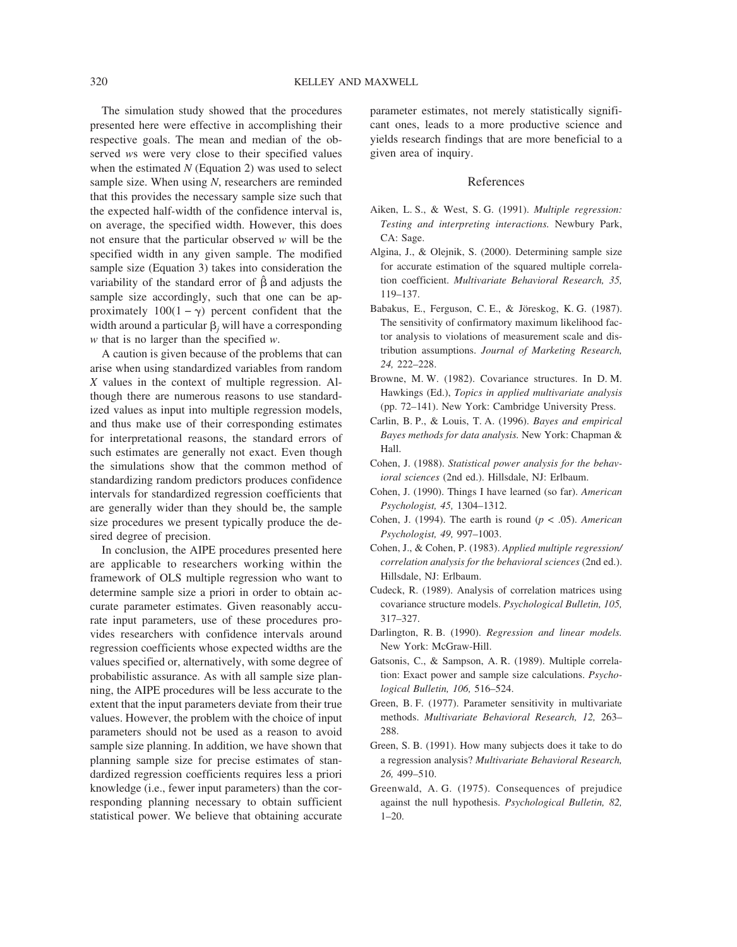The simulation study showed that the procedures presented here were effective in accomplishing their respective goals. The mean and median of the observed *w*s were very close to their specified values when the estimated *N* (Equation 2) was used to select sample size. When using *N*, researchers are reminded that this provides the necessary sample size such that the expected half-width of the confidence interval is, on average, the specified width. However, this does not ensure that the particular observed *w* will be the specified width in any given sample. The modified sample size (Equation 3) takes into consideration the variability of the standard error of  $\hat{\beta}$  and adjusts the sample size accordingly, such that one can be approximately  $100(1 - \gamma)$  percent confident that the width around a particular  $\beta$ , will have a corresponding *w* that is no larger than the specified *w*.

A caution is given because of the problems that can arise when using standardized variables from random *X* values in the context of multiple regression. Although there are numerous reasons to use standardized values as input into multiple regression models, and thus make use of their corresponding estimates for interpretational reasons, the standard errors of such estimates are generally not exact. Even though the simulations show that the common method of standardizing random predictors produces confidence intervals for standardized regression coefficients that are generally wider than they should be, the sample size procedures we present typically produce the desired degree of precision.

In conclusion, the AIPE procedures presented here are applicable to researchers working within the framework of OLS multiple regression who want to determine sample size a priori in order to obtain accurate parameter estimates. Given reasonably accurate input parameters, use of these procedures provides researchers with confidence intervals around regression coefficients whose expected widths are the values specified or, alternatively, with some degree of probabilistic assurance. As with all sample size planning, the AIPE procedures will be less accurate to the extent that the input parameters deviate from their true values. However, the problem with the choice of input parameters should not be used as a reason to avoid sample size planning. In addition, we have shown that planning sample size for precise estimates of standardized regression coefficients requires less a priori knowledge (i.e., fewer input parameters) than the corresponding planning necessary to obtain sufficient statistical power. We believe that obtaining accurate

parameter estimates, not merely statistically significant ones, leads to a more productive science and yields research findings that are more beneficial to a given area of inquiry.

#### References

- Aiken, L. S., & West, S. G. (1991). *Multiple regression: Testing and interpreting interactions.* Newbury Park, CA: Sage.
- Algina, J., & Olejnik, S. (2000). Determining sample size for accurate estimation of the squared multiple correlation coefficient. *Multivariate Behavioral Research, 35,* 119–137.
- Babakus, E., Ferguson, C. E., & Jöreskog, K. G. (1987). The sensitivity of confirmatory maximum likelihood factor analysis to violations of measurement scale and distribution assumptions. *Journal of Marketing Research, 24,* 222–228.
- Browne, M. W. (1982). Covariance structures. In D. M. Hawkings (Ed.), *Topics in applied multivariate analysis* (pp. 72–141). New York: Cambridge University Press.
- Carlin, B. P., & Louis, T. A. (1996). *Bayes and empirical Bayes methods for data analysis.* New York: Chapman & Hall.
- Cohen, J. (1988). *Statistical power analysis for the behavioral sciences* (2nd ed.). Hillsdale, NJ: Erlbaum.
- Cohen, J. (1990). Things I have learned (so far). *American Psychologist, 45,* 1304–1312.
- Cohen, J. (1994). The earth is round (*p* < .05). *American Psychologist, 49,* 997–1003.
- Cohen, J., & Cohen, P. (1983). *Applied multiple regression/ correlation analysis for the behavioral sciences* (2nd ed.). Hillsdale, NJ: Erlbaum.
- Cudeck, R. (1989). Analysis of correlation matrices using covariance structure models. *Psychological Bulletin, 105,* 317–327.
- Darlington, R. B. (1990). *Regression and linear models.* New York: McGraw-Hill.
- Gatsonis, C., & Sampson, A. R. (1989). Multiple correlation: Exact power and sample size calculations. *Psychological Bulletin, 106,* 516–524.
- Green, B. F. (1977). Parameter sensitivity in multivariate methods. *Multivariate Behavioral Research, 12,* 263– 288.
- Green, S. B. (1991). How many subjects does it take to do a regression analysis? *Multivariate Behavioral Research, 26,* 499–510.
- Greenwald, A. G. (1975). Consequences of prejudice against the null hypothesis. *Psychological Bulletin, 82,* 1–20.